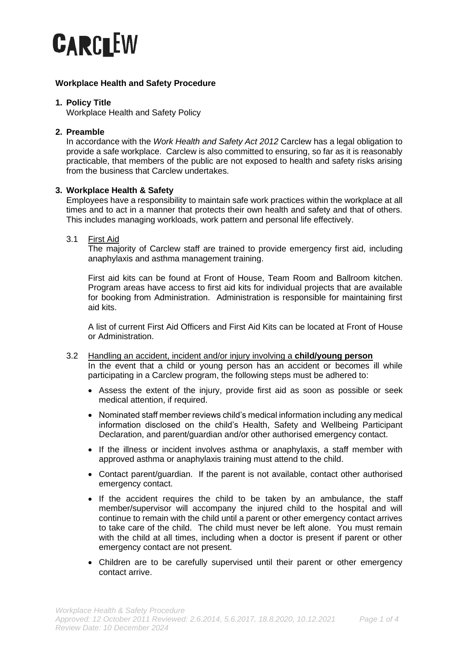

# **Workplace Health and Safety Procedure**

# **1. Policy Title**

Workplace Health and Safety Policy

## **2. Preamble**

In accordance with the *Work Health and Safety Act 2012* Carclew has a legal obligation to provide a safe workplace. Carclew is also committed to ensuring, so far as it is reasonably practicable, that members of the public are not exposed to health and safety risks arising from the business that Carclew undertakes.

## **3. Workplace Health & Safety**

Employees have a responsibility to maintain safe work practices within the workplace at all times and to act in a manner that protects their own health and safety and that of others. This includes managing workloads, work pattern and personal life effectively.

### 3.1 First Aid

The majority of Carclew staff are trained to provide emergency first aid, including anaphylaxis and asthma management training.

First aid kits can be found at Front of House, Team Room and Ballroom kitchen. Program areas have access to first aid kits for individual projects that are available for booking from Administration. Administration is responsible for maintaining first aid kits.

A list of current First Aid Officers and First Aid Kits can be located at Front of House or Administration.

- 3.2 Handling an accident, incident and/or injury involving a **child/young person** In the event that a child or young person has an accident or becomes ill while participating in a Carclew program, the following steps must be adhered to:
	- Assess the extent of the injury, provide first aid as soon as possible or seek medical attention, if required.
	- Nominated staff member reviews child's medical information including any medical information disclosed on the child's Health, Safety and Wellbeing Participant Declaration, and parent/guardian and/or other authorised emergency contact.
	- If the illness or incident involves asthma or anaphylaxis, a staff member with approved asthma or anaphylaxis training must attend to the child.
	- Contact parent/guardian. If the parent is not available, contact other authorised emergency contact.
	- If the accident requires the child to be taken by an ambulance, the staff member/supervisor will accompany the injured child to the hospital and will continue to remain with the child until a parent or other emergency contact arrives to take care of the child. The child must never be left alone. You must remain with the child at all times, including when a doctor is present if parent or other emergency contact are not present.
	- Children are to be carefully supervised until their parent or other emergency contact arrive.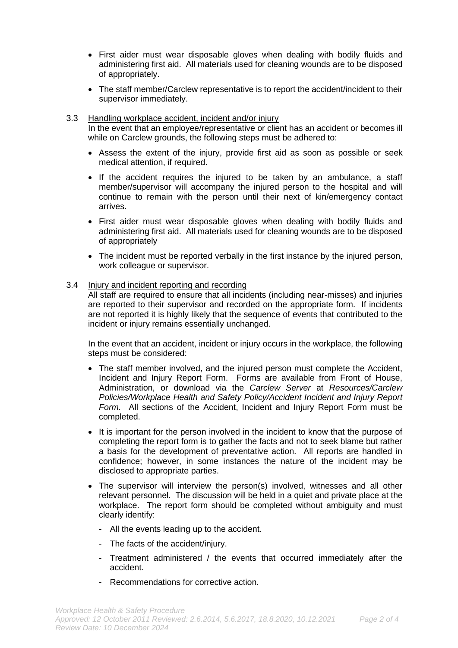- First aider must wear disposable gloves when dealing with bodily fluids and administering first aid. All materials used for cleaning wounds are to be disposed of appropriately.
- The staff member/Carclew representative is to report the accident/incident to their supervisor immediately.
- 3.3 Handling workplace accident, incident and/or injury In the event that an employee/representative or client has an accident or becomes ill while on Carclew grounds, the following steps must be adhered to:
	- Assess the extent of the injury, provide first aid as soon as possible or seek medical attention, if required.
	- If the accident requires the injured to be taken by an ambulance, a staff member/supervisor will accompany the injured person to the hospital and will continue to remain with the person until their next of kin/emergency contact arrives.
	- First aider must wear disposable gloves when dealing with bodily fluids and administering first aid. All materials used for cleaning wounds are to be disposed of appropriately
	- The incident must be reported verbally in the first instance by the injured person, work colleague or supervisor.

## 3.4 Injury and incident reporting and recording

All staff are required to ensure that all incidents (including near-misses) and injuries are reported to their supervisor and recorded on the appropriate form. If incidents are not reported it is highly likely that the sequence of events that contributed to the incident or injury remains essentially unchanged.

In the event that an accident, incident or injury occurs in the workplace, the following steps must be considered:

- The staff member involved, and the injured person must complete the Accident, Incident and Injury Report Form. Forms are available from Front of House, Administration, or download via the *Carclew Server* at *Resources/Carclew Policies/Workplace Health and Safety Policy/Accident Incident and Injury Report Form.* All sections of the Accident, Incident and Injury Report Form must be completed.
- It is important for the person involved in the incident to know that the purpose of completing the report form is to gather the facts and not to seek blame but rather a basis for the development of preventative action. All reports are handled in confidence; however, in some instances the nature of the incident may be disclosed to appropriate parties.
- The supervisor will interview the person(s) involved, witnesses and all other relevant personnel. The discussion will be held in a quiet and private place at the workplace. The report form should be completed without ambiguity and must clearly identify:
	- All the events leading up to the accident.
	- The facts of the accident/injury.
	- Treatment administered / the events that occurred immediately after the accident.
	- Recommendations for corrective action.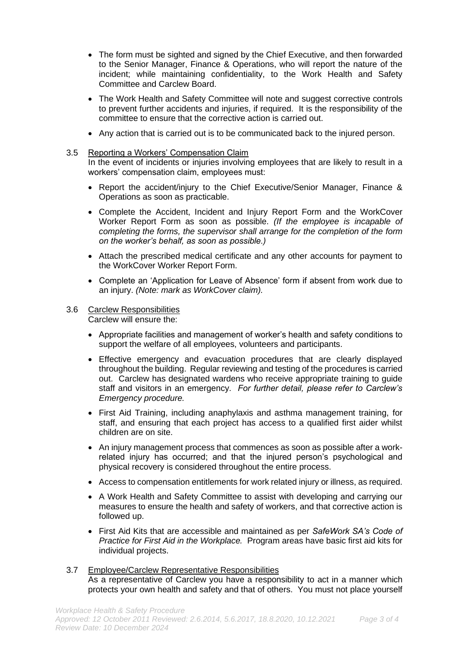- The form must be sighted and signed by the Chief Executive, and then forwarded to the Senior Manager, Finance & Operations, who will report the nature of the incident; while maintaining confidentiality, to the Work Health and Safety Committee and Carclew Board.
- The Work Health and Safety Committee will note and suggest corrective controls to prevent further accidents and injuries, if required. It is the responsibility of the committee to ensure that the corrective action is carried out.
- Any action that is carried out is to be communicated back to the injured person.

## 3.5 Reporting a Workers' Compensation Claim

In the event of incidents or injuries involving employees that are likely to result in a workers' compensation claim, employees must:

- Report the accident/injury to the Chief Executive/Senior Manager, Finance & Operations as soon as practicable.
- Complete the Accident, Incident and Injury Report Form and the WorkCover Worker Report Form as soon as possible. *(If the employee is incapable of completing the forms, the supervisor shall arrange for the completion of the form on the worker's behalf, as soon as possible.)*
- Attach the prescribed medical certificate and any other accounts for payment to the WorkCover Worker Report Form.
- Complete an 'Application for Leave of Absence' form if absent from work due to an injury. *(Note: mark as WorkCover claim).*

#### 3.6 Carclew Responsibilities Carclew will ensure the:

- Appropriate facilities and management of worker's health and safety conditions to support the welfare of all employees, volunteers and participants.
- Effective emergency and evacuation procedures that are clearly displayed throughout the building. Regular reviewing and testing of the procedures is carried out. Carclew has designated wardens who receive appropriate training to guide staff and visitors in an emergency. *For further detail, please refer to Carclew's Emergency procedure.*
- First Aid Training, including anaphylaxis and asthma management training, for staff, and ensuring that each project has access to a qualified first aider whilst children are on site.
- An injury management process that commences as soon as possible after a workrelated injury has occurred; and that the injured person's psychological and physical recovery is considered throughout the entire process.
- Access to compensation entitlements for work related injury or illness, as required.
- A Work Health and Safety Committee to assist with developing and carrying our measures to ensure the health and safety of workers, and that corrective action is followed up.
- First Aid Kits that are accessible and maintained as per *SafeWork SA's Code of Practice for First Aid in the Workplace.* Program areas have basic first aid kits for individual projects.
- 3.7 Employee/Carclew Representative Responsibilities As a representative of Carclew you have a responsibility to act in a manner which protects your own health and safety and that of others. You must not place yourself